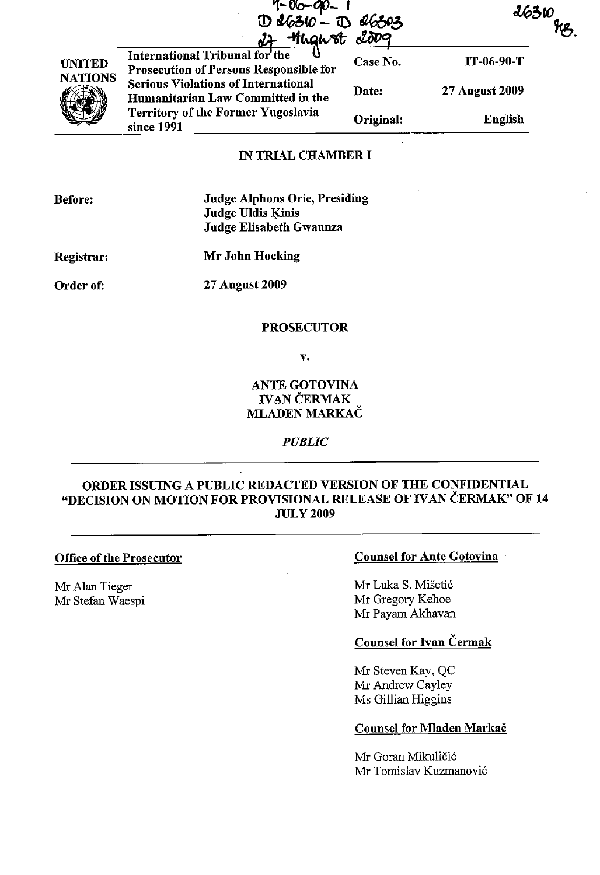|                                 | $7 - 06 - 90 - 1$<br>1 $0.6310 - 10$<br><b>Might 2009</b>                                                                                                          | 26303     |                |
|---------------------------------|--------------------------------------------------------------------------------------------------------------------------------------------------------------------|-----------|----------------|
| <b>UNITED</b><br><b>NATIONS</b> | International Tribunal for the<br><b>Prosecution of Persons Responsible for</b><br><b>Serious Violations of International</b><br>Humanitarian Law Committed in the | Case No.  | IT-06-90-T     |
|                                 |                                                                                                                                                                    | Date:     | 27 August 2009 |
|                                 | Territory of the Former Yugoslavia<br>since 1991                                                                                                                   | Original: | English        |

## IN TRIAL CHAMBER I

Before:

Judge Alphons Orie, Presiding Judge Uldis Kinis Judge Elisabeth Gwaunza

Registrar:

Mr John Hocking

Order of:

27 August 2009

### PROSECUTOR

v.

## ANTE GOTOVINA IVAN CERMAK MLADEN MARKAC

*PUBLIC* 

# ORDER ISSUING A PUBLIC REDACTED VERSION OF THE CONFIDENTIAL "DECISION ON MOTION FOR PROVISIONAL RELEASE OF IVAN CERMAK" OF 14 JULY 2009

Office of the Prosecutor

Mr Alan Tieger Mr Stefan Waespi

## Counsel for Ante Gotovina

Mr Luka S. Misetic Mr Gregory Kehoe Mr Payam Akhavan

## Counsel for Ivan Cermak

Mr Steven Kay, QC Mr Andrew Cayley Ms Gillian Higgins

#### Counsel for Mladen Markač

Mr Goran Mikuličić Mr Tomislav Kuzmanovic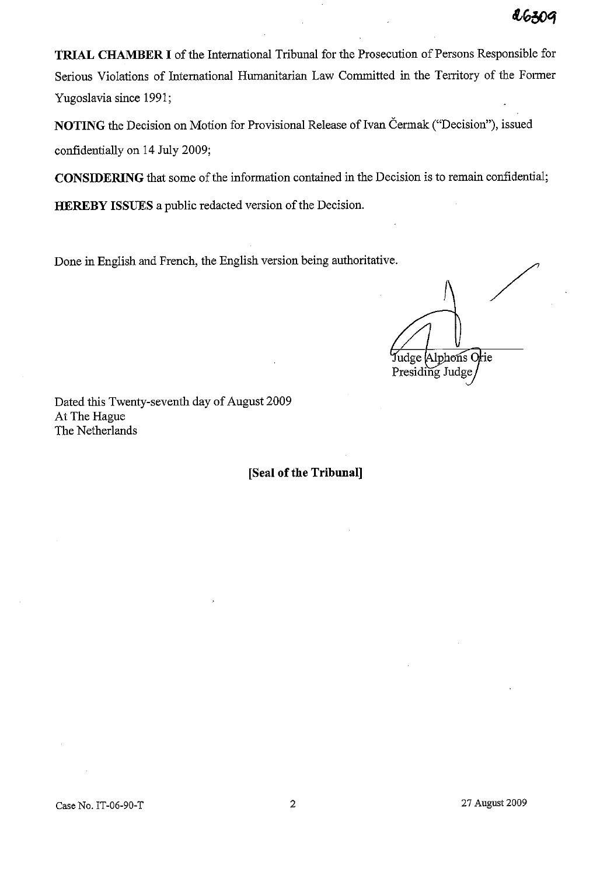**TRIAL CHAMBER I** of the International Tribunal for the Prosecution of Persons Responsible for Serious Violations of International Humanitarian Law Committed in the Territory of the Former Yugoslavia since 1991;

NOTING the Decision on Motion for Provisional Release of Ivan Čermak ("Decision"), issued confidentially on 14 July 2009;

**CONSIDERING** that some of the information contained in the Decision is to remain confidential;

**HEREBY ISSUES** a public redacted version of the Decision.

Done in English and French, the English version being authoritative.

/ Judge Alphons Orie Presiding Judge

Dated this Twenty-seventh day of August 2009 At The Hague The Netherlands

**[Seal of the Tribunal]**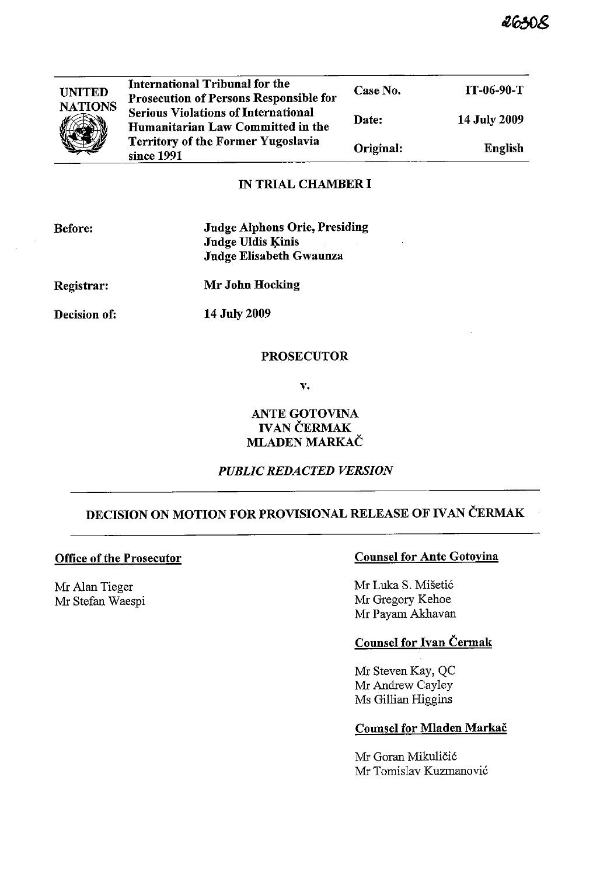| <b>UNITED</b><br><b>NATIONS</b> | International Tribunal for the<br>Prosecution of Persons Responsible for        | Case No.  | IT-06-90-T          |
|---------------------------------|---------------------------------------------------------------------------------|-----------|---------------------|
|                                 | <b>Serious Violations of International</b><br>Humanitarian Law Committed in the | Date:     | <b>14 July 2009</b> |
|                                 | Territory of the Former Yugoslavia<br>since 1991                                | Original: | <b>English</b>      |

# IN TRIAL CHAMBER I

| <b>Before:</b> | <b>Judge Alphons Orie, Presiding</b><br><b>Judge Uldis Kinis</b><br>Judge Elisabeth Gwaunza |
|----------------|---------------------------------------------------------------------------------------------|
| Registrar:     | Mr John Hocking                                                                             |
| Decision of:   | <b>14 July 2009</b>                                                                         |
|                |                                                                                             |

## PROSECUTOR

v.

# ANTE GOTOVINA **IVAN ČERMAK** MLADEN MARKAC

## *PUBLIC REDACTED VERSION*

# DECISION ON MOTION FOR PROVISIONAL RELEASE OF IVAN ČERMAK

### Office of the Prosecutor

Mr Alan Tieger Mr Stefan Waespi

## Counsel for Ante Gotovina

Mr Luka S. Mišetić Mr Gregory Kehoe Mr Payam Akhavan

# Counsel for Ivan Cermak

Mr Steven Kay, QC Mr Andrew Cayley Ms Gillian Higgins

### Counsel for Mladen Markac

Mr Goran Mikuličić Mr Tomislav Kuzmanović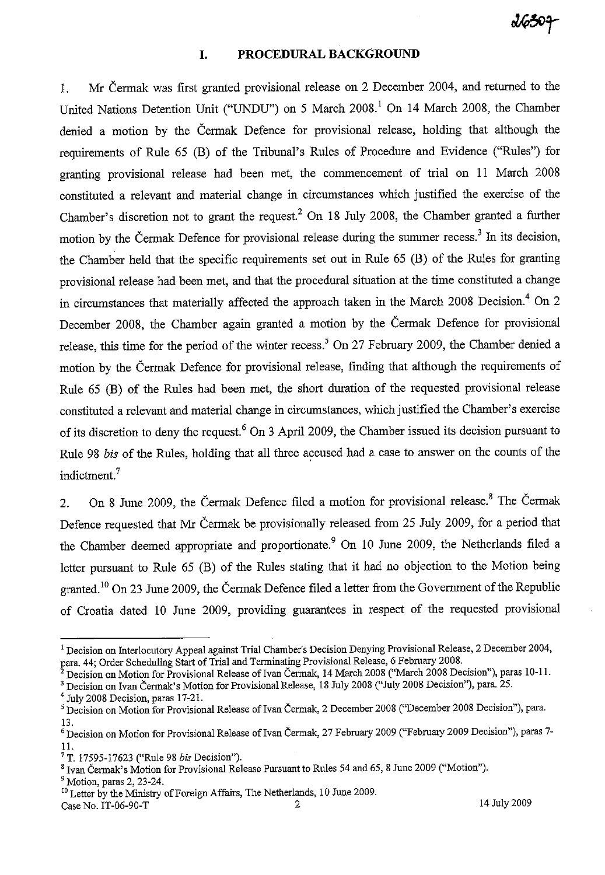### **I. PROCEDURAL BACKGROUND**

I. Mr Cermak was first granted provisional release on 2 December 2004, and returned to the United Nations Detention Unit ("UNDU") on 5 March 2008. 1 On 14 March 2008, the Chamber denied a motion by the Cermak Defence for provisional release, holding that although the requirements of Rule 65 (B) of the Tribunal's Rilles of Procedure and Evidence ("Rilles") for granting provisional release had been met, the commencement of trial on II March 2008 constituted a relevant and material change in circumstances which justified the exercise of the Chamber's discretion not to grant the request.<sup>2</sup> On 18 July 2008, the Chamber granted a further motion by the Čermak Defence for provisional release during the summer recess.<sup>3</sup> In its decision, the Chamber held that the specific requirements set out in Rule 65 (B) of the Rules for granting provisional release had been met, and that the procedural situation at the time constituted a change in circumstances that materially affected the approach taken in the March 2008 Decision.<sup>4</sup> On 2 December 2008, the Chamber again granted a motion by the Cermak Defence for provisional release, this time for the period of the winter recess.<sup>5</sup> On 27 February 2009, the Chamber denied a motion by the Cennak Defence for provisional release, finding that although the requirements of Rule 65 (B) of the Rules had been met, the short duration of the requested provisional release constituted a relevant and material change in circumstances, which justified the Chamber's exercise of its discretion to deny the request.<sup>6</sup> On 3 April 2009, the Chamber issued its decision pursuant to Rule 98 *bis* of the Rules, holding that all three accused had a case to answer on the counts of the indictment. 7

2. On 8 June 2009, the Čermak Defence filed a motion for provisional release. $8$  The Čermak Defence requested that Mr Cermak be provisionally released from 25 July 2009, for a period that the Chamber deemed appropriate and proportionate.<sup>9</sup> On 10 June 2009, the Netherlands filed a letter pursuant to Rule 65 (B) of the Rules stating that it had no objection to the Motion being granted.<sup>10</sup> On 23 June 2009, the Čermak Defence filed a letter from the Government of the Republic of Croatia dated 10 June 2009, providing guarantees in respect of the requested provisional

<sup>&</sup>lt;sup>1</sup> Decision on Interlocutory Appeal against Trial Chamber's Decision Denying Provisional Release, 2 December 2004, para. 44; Order Scheduling Start of Trial and Terminating Provisional Release, 6 February 2008.

 $^{2}$  Decision on Motion for Provisional Release of Ivan Čermak, 14 March 2008 ("March 2008 Decision"), paras 10-11.

<sup>&</sup>lt;sup>3</sup> Decision on Ivan Čermak's Motion for Provisional Release, 18 July 2008 ("July 2008 Decision"), para. 25.

<sup>4</sup> July 2008 Decision, paras 17-21.

<sup>&</sup>lt;sup>5</sup> Decision on Motion for Provisional Release of Ivan Čermak, 2 December 2008 ("December 2008 Decision"), para. 13.

<sup>&</sup>lt;sup>6</sup> Decision on Motion for Provisional Release of Ivan Čermak, 27 February 2009 ("February 2009 Decision"), paras 7-II.

<sup>7</sup> T. 17595-17623 ("Rule 98 *bis* Decision").

<sup>&</sup>lt;sup>8</sup> Ivan Čermak's Motion for Provisional Release Pursuant to Rules 54 and 65, 8 June 2009 ("Motion").

<sup>9</sup> Motion, paras 2, 23-24.

<sup>&</sup>lt;sup>10</sup> Letter by the Ministry of Foreign Affairs, The Netherlands, 10 June 2009. Case No. IT-06-90-T 2 14 July 2009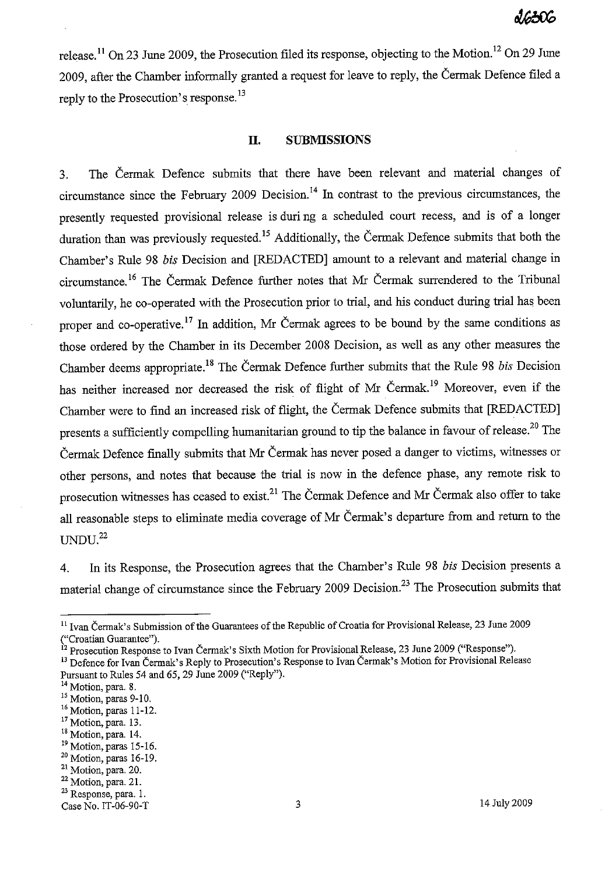release.<sup>11</sup> On 23 June 2009, the Prosecution filed its response, objecting to the Motion.<sup>12</sup> On 29 June 2009, after the Chamber informally granted a request for leave to reply, the Čermak Defence filed a reply to the Prosecution's response.<sup>13</sup>

### **II. SUBMISSIONS**

3. The Čermak Defence submits that there have been relevant and material changes of circumstance since the February 2009 Decision. <sup>14</sup>**In** contrast to the previous circumstances, the presently requested provisional release is duri ng a scheduled court recess, and is of a longer duration than was previously requested.<sup>15</sup> Additionally, the Čermak Defence submits that both the Chamber's Rule 98 *bis* Decision and [REDACTED] amount to a relevant and material change in circumstance.<sup>16</sup> The Cermak Defence further notes that Mr Cermak surrendered to the Tribunal voluntarily, he co-operated with the Prosecution prior to trial, and his conduct during trial has been proper and co-operative.<sup>17</sup> In addition, Mr Čermak agrees to be bound by the same conditions as those ordered by the Chamber in its December 2008 Decision, as well as any other measures the Chamber deems appropriate.<sup>18</sup> The Čermak Defence further submits that the Rule 98 *bis* Decision has neither increased nor decreased the risk of flight of Mr Čermak.<sup>19</sup> Moreover, even if the Chamber were to find an increased risk of flight, the Cermak Defence submits that [REDACTED] presents a sufficiently compelling humanitarian ground to tip the balance in favour of release.<sup>20</sup> The Čermak Defence finally submits that Mr Čermak has never posed a danger to victims, witnesses or other persons, and notes that because the trial is now in the defence phase, any remote risk to prosecution witnesses has ceased to exist.<sup>21</sup> The Cermak Defence and Mr Cermak also offer to take all reasonable steps to eliminate media coverage of Mr Čermak's departure from and return to the  $UNDU.<sup>22</sup>$ 

4. In its Response, the Prosecution agrees that the Chamber's Rule 98 *bis* Decision presents a material change of circumstance since the February 2009 Decision.<sup>23</sup> The Prosecution submits that

<sup>&</sup>lt;sup>11</sup> Ivan Čermak's Submission of the Guarantees of the Republic of Croatia for Provisional Release, 23 June 2009 ("Croatian Guarantee").

<sup>&</sup>lt;sup>12</sup> Prosecution Response to Ivan Čermak's Sixth Motion for Provisional Release, 23 June 2009 ("Response").

<sup>&</sup>lt;sup>13</sup> Defence for Ivan Čermak's Reply to Prosecution's Response to Ivan Čermak's Motion for Provisional Release Pursuant to Rules 54 and 65, 29 June 2009 ("Reply").

**<sup>14</sup>Motion, para. 8.** 

<sup>&</sup>lt;sup>15</sup> Motion, paras 9-10.

<sup>&</sup>lt;sup>16</sup> Motion, paras 11-12.

<sup>&</sup>lt;sup>17</sup> Motion, para. 13.

<sup>&</sup>lt;sup>18</sup> Motion, para. 14.

<sup>&</sup>lt;sup>19</sup> Motion, paras 15-16.

<sup>20</sup> Motion, paras 16-19.

<sup>21</sup> Motion, para. 20.

<sup>22</sup> Motion, para. 21. **23 Response, para. 1.** 

Case No. IT-06-90-T 3 2009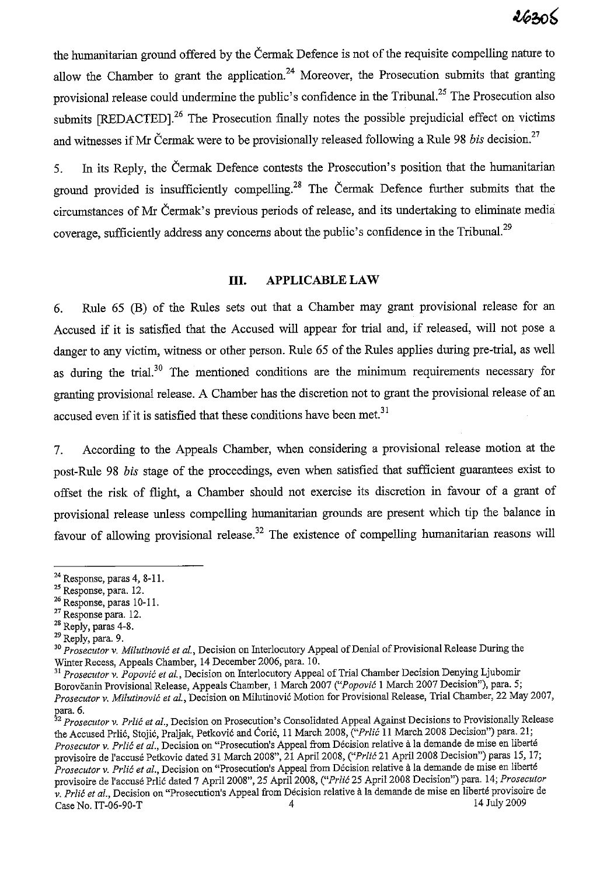the humanitarian ground offered by the Cermak Defence is not of the requisite compelling nature to allow the Chamber to grant the application.<sup>24</sup> Moreover, the Prosecution submits that granting provisional release could undermine the public's confidence in the Tribunal.<sup>25</sup> The Prosecution also submits [REDACTED].<sup>26</sup> The Prosecution finally notes the possible prejudicial effect on victims and witnesses if Mr Cermak were to be provisionally released following a Rule 98 *bis* decision.<sup>27</sup>

5. In its Reply, the Cermak Defence contests the Prosecution's position that the humanitarian ground provided is insufficiently compelling.<sup>28</sup> The Cermak Defence further submits that the circumstances of Mr Cermak's previous periods of release, and its undertaking to eliminate media coverage, sufficiently address any concerns about the public's confidence in the Tribunal.<sup>29</sup>

### **III. APPLICABLE LAW**

6. Rule 65 (B) of the Rules sets out that a Chamber may grant provisional release for an Accused if it is satisfied that the Accused will appear for trial and, if released, will not pose a danger to any victim, witness or other person. Rule 65 of the Rules applies during pre-trial, as well as during the trial.<sup>30</sup> The mentioned conditions are the minimum requirements necessary for granting provisional release. A Chamber has the discretion not to grant the provisional release of an accused even if it is satisfied that these conditions have been met.<sup>31</sup>

7. According to the Appeals Chamber, when considering a provisional release motion at the post-Rule 98 *bis* stage of the proceedings, even when satisfied that sufficient guarantees exist to offset the risk of flight, a Chamber should not exercise its discretion in favour of a grant of provisional release unless compelling humanitarian grounds are present which tip the balance in favour of allowing provisional release.<sup>32</sup> The existence of compelling humanitarian reasons will

 $29$  Reply, para. 9.

<sup>24</sup> Response, paras 4, S-II.

<sup>&</sup>lt;sup>25</sup> Response, para. 12.

<sup>&</sup>lt;sup>26</sup> Response, paras 10-11.

<sup>27</sup> Response para. 12.

<sup>&</sup>lt;sup>28</sup> Reply, paras 4-8.

<sup>&</sup>lt;sup>30</sup> Prosecutor v. Milutinović et al., Decision on Interlocutory Appeal of Denial of Provisional Release During the Winter Recess, Appeals Chamber, 14 December 2006, para. 10.

<sup>&</sup>lt;sup>31</sup> Prosecutor v. Popović et al., Decision on Interlocutory Appeal of Trial Chamber Decision Denying Ljubomir Borovčanin Provisional Release, Appeals Chamber, 1 March 2007 *("Popović* 1 March 2007 Decision"), para. 5; *Proseculor* v. *Milulinovic* el *aI.,* Decision on Milutinovic Motion for Provisional Release, Trial Chamber, 22 May 2007, para. 6.

*<sup>2</sup> Proseculor* v. *Prlic* el *al.,* Decision on Prosecution's Consolidated Appeal Against Decisions to Provisionally Release the Accused Prlic, Stojic, Praljak, Petkovic and Coric, II March 200S, *("Prlic* 11 March 200S Decision") para. 21; *Proseculor* v. *Prlic* el *al.,* Decision on "Prosecution's Appeal from Decision relative ala demande de mise en liberte provisoire de l'accusé Petkovic dated 31 March 2008", 21 April 2008, *("Prlić* 21 April 2008 Decision") paras 15, 17; *Prosecutor v. Prlić et al.*, Decision on "Prosecution's Appeal from Décision relative à la demande de mise en liberté provisoire de l'accuse Prlic dated 7 April200S", 25 Apri1200S, *("Prlic* 25 April 200S Decision") para. 14; *Proseculor*  **v. Prlic et al., Decision on "Prosecution's Appeal from Décision relative à la demande de mise en liberté provisoire de<br>Case No. IT-06-90-T<br>4 July 2009** Case No. IT-06-90-T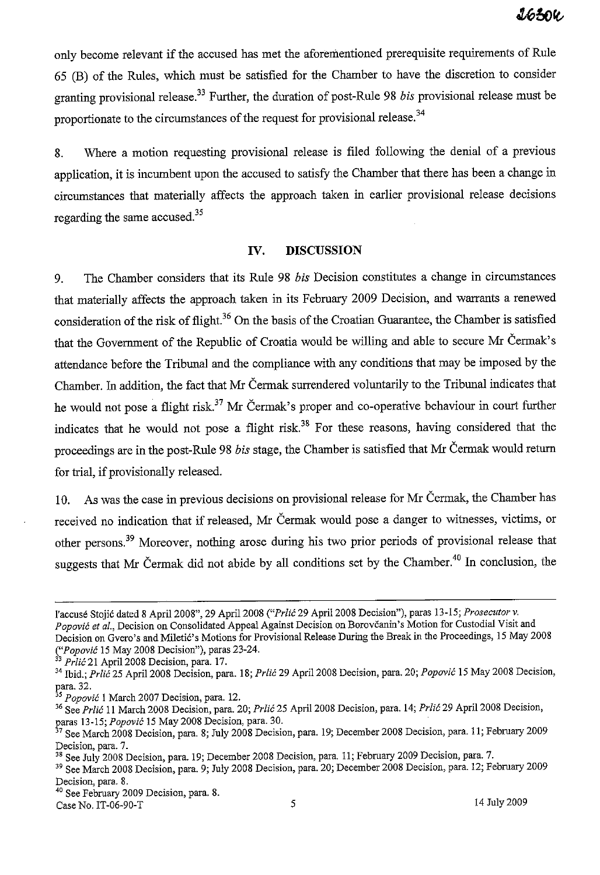only become relevant if the accused has met the aforementioned prerequisite requirements of Rule 65 (B) of the Rules, which must be satisfied for the Chamber to have the discretion to consider granting provisional release.33 Further, the duration of post-Rule 98 *bis* provisional release must be proportionate to the circumstances of the request for provisional release.<sup>34</sup>

8. Where a motion requesting provisional release is filed following the denial of a previous application, it is incumbent upon the accused to satisfy the Chamber that there has been a change in circumstances that materially affects the approach taken in earlier provisional release decisions regarding the same accused. $35$ 

### **IV. DISCUSSION**

9. The Chamber considers that its Rule 98 *bis* Decision constitutes a change in circumstances that materially affects the approach taken in its February 2009 Decision, and warrants a renewed consideration of the risk of flight.<sup>36</sup> On the basis of the Croatian Guarantee, the Chamber is satisfied that the Govermnent of the Republic of Croatia would be willing and able to secure Mr Cermak's attendance before the Tribunal and the compliance with any conditions that may be imposed by the Chamber. In addition, the fact that Mr Cermak surrendered voluntarily to the Tribunal indicates that he would not pose a flight risk.<sup>37</sup> Mr Cermak's proper and co-operative behaviour in court further indicates that he would not pose a flight risk.<sup>38</sup> For these reasons, having considered that the proceedings are in the post-Rule 98 *bis* stage, the Chamber is satisfied that Mr Cermak would return for trial, if provisionally released.

10. As was the case in previous decisions on provisional release for Mr Cermak, the Chamber has received no indication that if released, Mr Cermak would pose a danger to witnesses, victims, or other persons.39 Moreover, nothing arose during his two prior periods of provisional release that suggests that Mr Cermak did not abide by all conditions set by the Chamber. 40 In conclusion, the

 $\frac{14 \text{ July 2009}}{14 \text{ July 2009}}$ 

l'accuse Stojic dated S ApriI200S", 29 April200S *("Prlic* 29 April200S Decisiou"), paras 13-15; *Proseculor* v. *Popovic* el *aI.,* Decision on Consolidated Appeal Against Decision on Borovcanin's *Motion* for Custodial Visit and Decision on Gvero's and Miletić's Motions for Provisional Release During the Break in the Proceedings, 15 May 2008 *("Popovic* 15 May 200S Decision"), paras 23-24.

<sup>&</sup>lt;sup>33</sup> Prlić 21 April 2008 Decision, para. 17.

<sup>34 !</sup>hid.; *Prlic* 25 April200S Decision, para. IS; *Prlic* 29 April200S Decision, para. 20; *Popovic* 15 May 200S Decision, para. 32.

<sup>35</sup>*Popovic* 1 March 2007 Decision, para. 12.

<sup>36</sup>See *Prlic* 11 March 200S Decision, para. 20; *Prlic* 25 April200S Decision, para. 14; *Prlic* 29 April200S Decision, ~aras 13-15; *Popovic* 15 May 200S Decision, para. 30.

<sup>7</sup> See March 200S Decision, para. S; July 200S Decision, para. 19; December 200S Decision, para. 11; February 2009 **Decision, para. 7.** 

<sup>&</sup>lt;sup>38</sup> See July 2008 Decision, para. 19; December 2008 Decision, para. 11; February 2009 Decision, para. 7.

<sup>39</sup> See March 200S Decision, para. 9; July 200S Decision, para. 20; December 200S Decision, para. 12; February 2009 **Decision, para. 8.** 

<sup>40</sup> See February 2009 Decision, para. S.